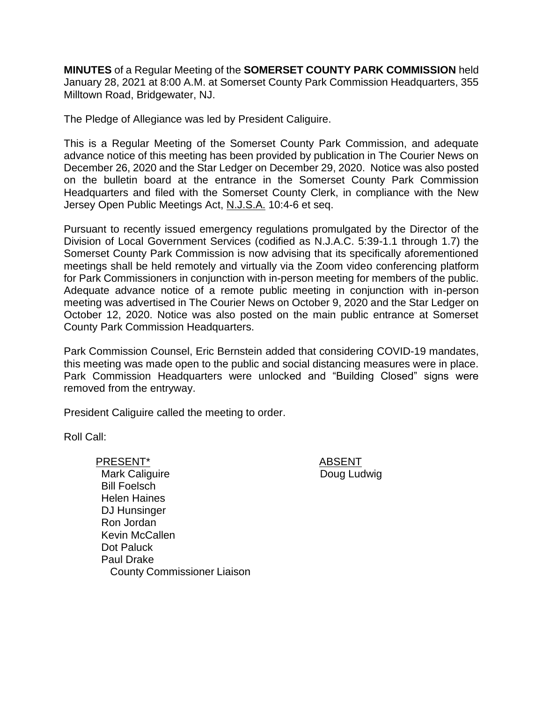**MINUTES** of a Regular Meeting of the **SOMERSET COUNTY PARK COMMISSION** held January 28, 2021 at 8:00 A.M. at Somerset County Park Commission Headquarters, 355 Milltown Road, Bridgewater, NJ.

The Pledge of Allegiance was led by President Caliguire.

This is a Regular Meeting of the Somerset County Park Commission, and adequate advance notice of this meeting has been provided by publication in The Courier News on December 26, 2020 and the Star Ledger on December 29, 2020. Notice was also posted on the bulletin board at the entrance in the Somerset County Park Commission Headquarters and filed with the Somerset County Clerk, in compliance with the New Jersey Open Public Meetings Act, N.J.S.A. 10:4-6 et seq.

Pursuant to recently issued emergency regulations promulgated by the Director of the Division of Local Government Services (codified as N.J.A.C. 5:39-1.1 through 1.7) the Somerset County Park Commission is now advising that its specifically aforementioned meetings shall be held remotely and virtually via the Zoom video conferencing platform for Park Commissioners in conjunction with in-person meeting for members of the public. Adequate advance notice of a remote public meeting in conjunction with in-person meeting was advertised in The Courier News on October 9, 2020 and the Star Ledger on October 12, 2020. Notice was also posted on the main public entrance at Somerset County Park Commission Headquarters.

Park Commission Counsel, Eric Bernstein added that considering COVID-19 mandates, this meeting was made open to the public and social distancing measures were in place. Park Commission Headquarters were unlocked and "Building Closed" signs were removed from the entryway.

President Caliguire called the meeting to order.

Roll Call:

PRESENT\* ABSENT Mark Caliguire Bill Foelsch Helen Haines DJ Hunsinger Ron Jordan Kevin McCallen Dot Paluck Paul Drake County Commissioner Liaison

Doug Ludwig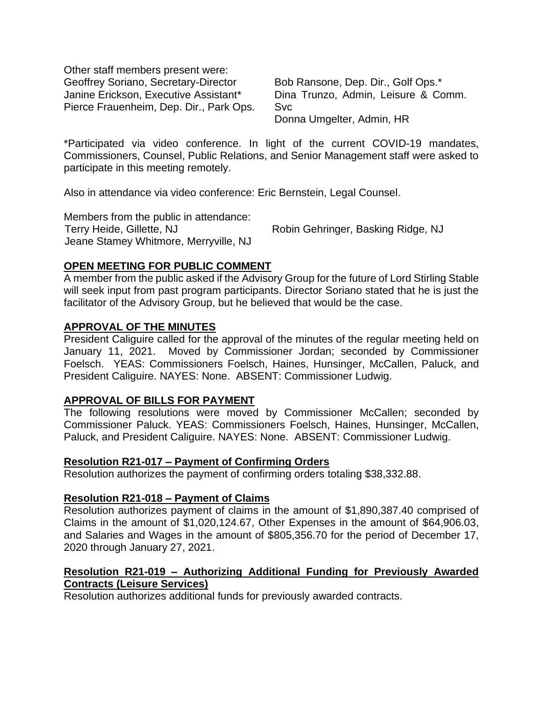Other staff members present were: Geoffrey Soriano, Secretary-Director Janine Erickson, Executive Assistant\* Pierce Frauenheim, Dep. Dir., Park Ops.

Bob Ransone, Dep. Dir., Golf Ops.\* Dina Trunzo, Admin, Leisure & Comm. Svc Donna Umgelter, Admin, HR

\*Participated via video conference. In light of the current COVID-19 mandates, Commissioners, Counsel, Public Relations, and Senior Management staff were asked to participate in this meeting remotely.

Also in attendance via video conference: Eric Bernstein, Legal Counsel.

Members from the public in attendance: Terry Heide, Gillette, NJ Robin Gehringer, Basking Ridge, NJ Jeane Stamey Whitmore, Merryville, NJ

## **OPEN MEETING FOR PUBLIC COMMENT**

A member from the public asked if the Advisory Group for the future of Lord Stirling Stable will seek input from past program participants. Director Soriano stated that he is just the facilitator of the Advisory Group, but he believed that would be the case.

#### **APPROVAL OF THE MINUTES**

President Caliguire called for the approval of the minutes of the regular meeting held on January 11, 2021. Moved by Commissioner Jordan; seconded by Commissioner Foelsch. YEAS: Commissioners Foelsch, Haines, Hunsinger, McCallen, Paluck, and President Caliguire. NAYES: None. ABSENT: Commissioner Ludwig.

#### **APPROVAL OF BILLS FOR PAYMENT**

The following resolutions were moved by Commissioner McCallen; seconded by Commissioner Paluck. YEAS: Commissioners Foelsch, Haines, Hunsinger, McCallen, Paluck, and President Caliguire. NAYES: None. ABSENT: Commissioner Ludwig.

#### **Resolution R21-017 – Payment of Confirming Orders**

Resolution authorizes the payment of confirming orders totaling \$38,332.88.

#### **Resolution R21-018 – Payment of Claims**

Resolution authorizes payment of claims in the amount of \$1,890,387.40 comprised of Claims in the amount of \$1,020,124.67, Other Expenses in the amount of \$64,906.03, and Salaries and Wages in the amount of \$805,356.70 for the period of December 17, 2020 through January 27, 2021.

## **Resolution R21-019 – Authorizing Additional Funding for Previously Awarded Contracts (Leisure Services)**

Resolution authorizes additional funds for previously awarded contracts.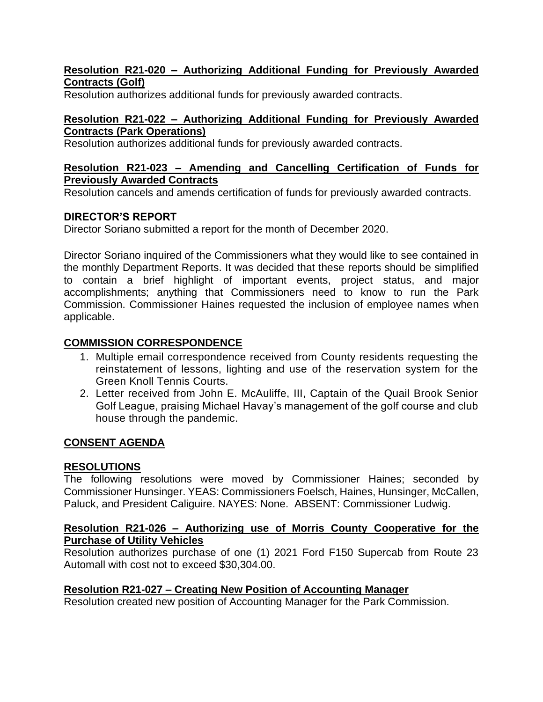## **Resolution R21-020 – Authorizing Additional Funding for Previously Awarded Contracts (Golf)**

Resolution authorizes additional funds for previously awarded contracts.

# **Resolution R21-022 – Authorizing Additional Funding for Previously Awarded Contracts (Park Operations)**

Resolution authorizes additional funds for previously awarded contracts.

## **Resolution R21-023 – Amending and Cancelling Certification of Funds for Previously Awarded Contracts**

Resolution cancels and amends certification of funds for previously awarded contracts.

# **DIRECTOR'S REPORT**

Director Soriano submitted a report for the month of December 2020.

Director Soriano inquired of the Commissioners what they would like to see contained in the monthly Department Reports. It was decided that these reports should be simplified to contain a brief highlight of important events, project status, and major accomplishments; anything that Commissioners need to know to run the Park Commission. Commissioner Haines requested the inclusion of employee names when applicable.

# **COMMISSION CORRESPONDENCE**

- 1. Multiple email correspondence received from County residents requesting the reinstatement of lessons, lighting and use of the reservation system for the Green Knoll Tennis Courts.
- 2. Letter received from John E. McAuliffe, III, Captain of the Quail Brook Senior Golf League, praising Michael Havay's management of the golf course and club house through the pandemic.

# **CONSENT AGENDA**

# **RESOLUTIONS**

The following resolutions were moved by Commissioner Haines; seconded by Commissioner Hunsinger. YEAS: Commissioners Foelsch, Haines, Hunsinger, McCallen, Paluck, and President Caliguire. NAYES: None. ABSENT: Commissioner Ludwig.

## **Resolution R21-026 – Authorizing use of Morris County Cooperative for the Purchase of Utility Vehicles**

Resolution authorizes purchase of one (1) 2021 Ford F150 Supercab from Route 23 Automall with cost not to exceed \$30,304.00.

# **Resolution R21-027 – Creating New Position of Accounting Manager**

Resolution created new position of Accounting Manager for the Park Commission.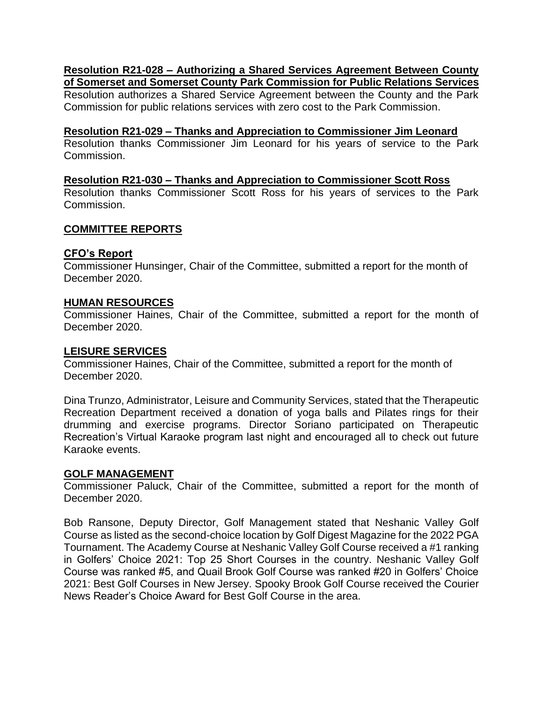## **Resolution R21-028 – Authorizing a Shared Services Agreement Between County of Somerset and Somerset County Park Commission for Public Relations Services**

Resolution authorizes a Shared Service Agreement between the County and the Park Commission for public relations services with zero cost to the Park Commission.

## **Resolution R21-029 – Thanks and Appreciation to Commissioner Jim Leonard**

Resolution thanks Commissioner Jim Leonard for his years of service to the Park Commission.

# **Resolution R21-030 – Thanks and Appreciation to Commissioner Scott Ross**

Resolution thanks Commissioner Scott Ross for his years of services to the Park Commission.

## **COMMITTEE REPORTS**

## **CFO's Report**

Commissioner Hunsinger, Chair of the Committee, submitted a report for the month of December 2020.

## **HUMAN RESOURCES**

Commissioner Haines, Chair of the Committee, submitted a report for the month of December 2020.

#### **LEISURE SERVICES**

Commissioner Haines, Chair of the Committee, submitted a report for the month of December 2020.

Dina Trunzo, Administrator, Leisure and Community Services, stated that the Therapeutic Recreation Department received a donation of yoga balls and Pilates rings for their drumming and exercise programs. Director Soriano participated on Therapeutic Recreation's Virtual Karaoke program last night and encouraged all to check out future Karaoke events.

#### **GOLF MANAGEMENT**

Commissioner Paluck, Chair of the Committee, submitted a report for the month of December 2020.

Bob Ransone, Deputy Director, Golf Management stated that Neshanic Valley Golf Course as listed as the second-choice location by Golf Digest Magazine for the 2022 PGA Tournament. The Academy Course at Neshanic Valley Golf Course received a #1 ranking in Golfers' Choice 2021: Top 25 Short Courses in the country. Neshanic Valley Golf Course was ranked #5, and Quail Brook Golf Course was ranked #20 in Golfers' Choice 2021: Best Golf Courses in New Jersey. Spooky Brook Golf Course received the Courier News Reader's Choice Award for Best Golf Course in the area.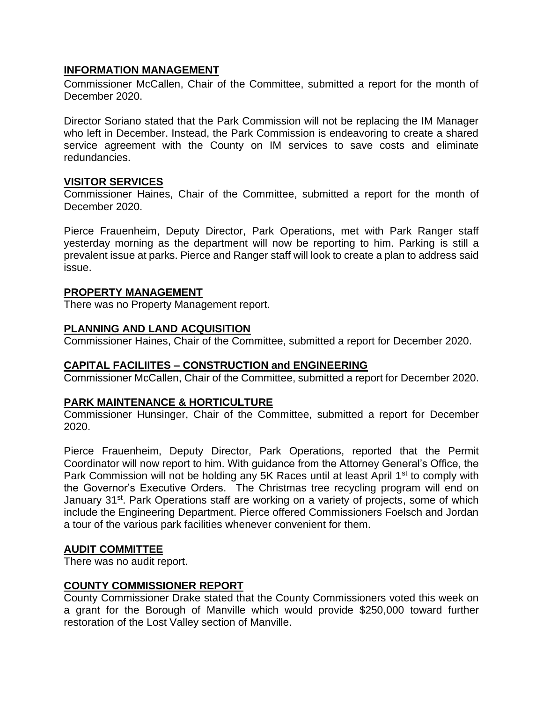# **INFORMATION MANAGEMENT**

Commissioner McCallen, Chair of the Committee, submitted a report for the month of December 2020.

Director Soriano stated that the Park Commission will not be replacing the IM Manager who left in December. Instead, the Park Commission is endeavoring to create a shared service agreement with the County on IM services to save costs and eliminate redundancies.

## **VISITOR SERVICES**

Commissioner Haines, Chair of the Committee, submitted a report for the month of December 2020.

Pierce Frauenheim, Deputy Director, Park Operations, met with Park Ranger staff yesterday morning as the department will now be reporting to him. Parking is still a prevalent issue at parks. Pierce and Ranger staff will look to create a plan to address said issue.

## **PROPERTY MANAGEMENT**

There was no Property Management report.

## **PLANNING AND LAND ACQUISITION**

Commissioner Haines, Chair of the Committee, submitted a report for December 2020.

## **CAPITAL FACILIITES – CONSTRUCTION and ENGINEERING**

Commissioner McCallen, Chair of the Committee, submitted a report for December 2020.

## **PARK MAINTENANCE & HORTICULTURE**

Commissioner Hunsinger, Chair of the Committee, submitted a report for December 2020.

Pierce Frauenheim, Deputy Director, Park Operations, reported that the Permit Coordinator will now report to him. With guidance from the Attorney General's Office, the Park Commission will not be holding any 5K Races until at least April 1<sup>st</sup> to comply with the Governor's Executive Orders. The Christmas tree recycling program will end on January 31<sup>st</sup>. Park Operations staff are working on a variety of projects, some of which include the Engineering Department. Pierce offered Commissioners Foelsch and Jordan a tour of the various park facilities whenever convenient for them.

#### **AUDIT COMMITTEE**

There was no audit report.

#### **COUNTY COMMISSIONER REPORT**

County Commissioner Drake stated that the County Commissioners voted this week on a grant for the Borough of Manville which would provide \$250,000 toward further restoration of the Lost Valley section of Manville.